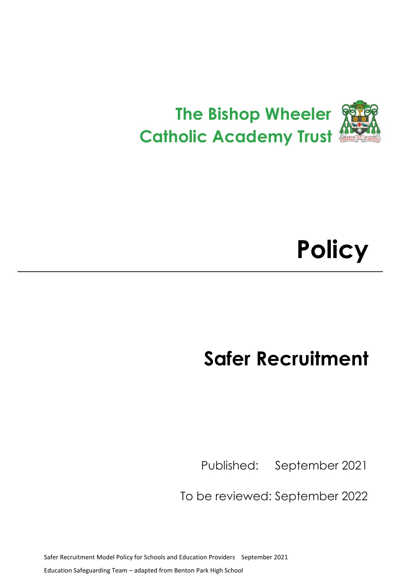

# **Policy**

## **Safer Recruitment**

Published: September 2021

To be reviewed: September 2022

Safer Recruitment Model Policy for Schools and Education Providers September 2021 Education Safeguarding Team – adapted from Benton Park High School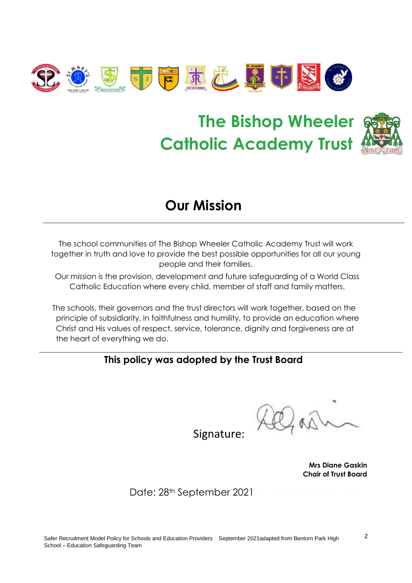

## **The Bishop Wheeler Catholic Academy Trust**



## **Our Mission**

The school communities of The Bishop Wheeler Catholic Academy Trust will work together in truth and love to provide the best possible opportunities for all our young people and their families.

Our mission is the provision, development and future safeguarding of a World Class Catholic Education where every child, member of staff and family matters.

The schools, their governors and the trust directors will work together, based on the principle of subsidiarity, in faithfulness and humility, to provide an education where Christ and His values of respect, service, tolerance, dignity and forgiveness are at the heart of everything we do.

## **This policy was adopted by the Trust Board**

Signature:

**Mrs Diane Gaskin Chair of Trust Board**

Date: 28th September 2021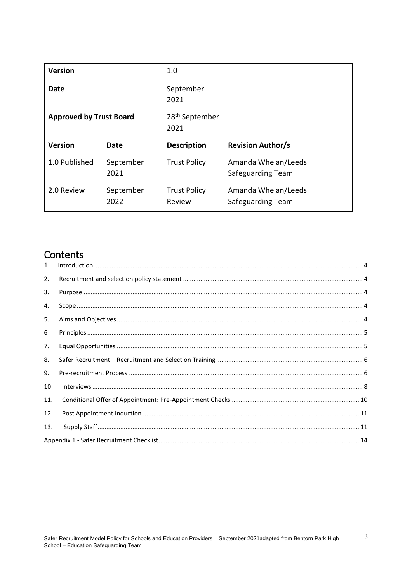| <b>Version</b>                 |                   | 1.0                                |                                          |
|--------------------------------|-------------------|------------------------------------|------------------------------------------|
| Date                           |                   | September<br>2021                  |                                          |
| <b>Approved by Trust Board</b> |                   | 28 <sup>th</sup> September<br>2021 |                                          |
| <b>Version</b>                 | Date              | <b>Description</b>                 | <b>Revision Author/s</b>                 |
| 1.0 Published                  | September<br>2021 | <b>Trust Policy</b>                | Amanda Whelan/Leeds<br>Safeguarding Team |
| 2.0 Review                     | September<br>2022 | <b>Trust Policy</b><br>Review      | Amanda Whelan/Leeds<br>Safeguarding Team |

## Contents

| $1_{\cdot}$ |  |
|-------------|--|
| 2.          |  |
| 3.          |  |
| 4.          |  |
| 5.          |  |
| 6           |  |
| 7.          |  |
| 8.          |  |
| 9.          |  |
| 10          |  |
| 11.         |  |
| 12.         |  |
| 13.         |  |
|             |  |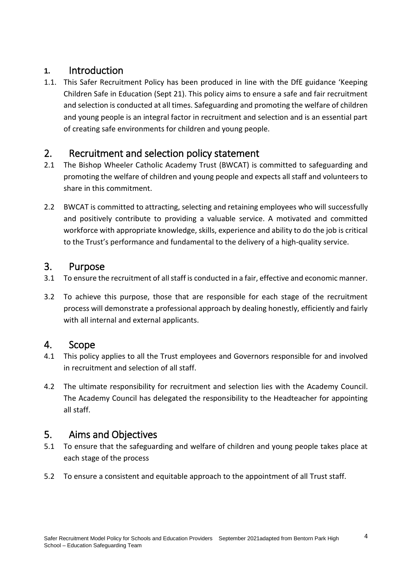## <span id="page-3-0"></span>**1.** Introduction

1.1. This Safer Recruitment Policy has been produced in line with the DfE guidance 'Keeping Children Safe in Education (Sept 21). This policy aims to ensure a safe and fair recruitment and selection is conducted at all times. Safeguarding and promoting the welfare of children and young people is an integral factor in recruitment and selection and is an essential part of creating safe environments for children and young people.

## <span id="page-3-1"></span>2. Recruitment and selection policy statement

- 2.1 The Bishop Wheeler Catholic Academy Trust (BWCAT) is committed to safeguarding and promoting the welfare of children and young people and expects all staff and volunteers to share in this commitment.
- 2.2 BWCAT is committed to attracting, selecting and retaining employees who will successfully and positively contribute to providing a valuable service. A motivated and committed workforce with appropriate knowledge, skills, experience and ability to do the job is critical to the Trust's performance and fundamental to the delivery of a high-quality service.

### <span id="page-3-2"></span>3. Purpose

- 3.1 To ensure the recruitment of all staff is conducted in a fair, effective and economic manner.
- 3.2 To achieve this purpose, those that are responsible for each stage of the recruitment process will demonstrate a professional approach by dealing honestly, efficiently and fairly with all internal and external applicants.

## <span id="page-3-3"></span>4. Scope

- 4.1 This policy applies to all the Trust employees and Governors responsible for and involved in recruitment and selection of all staff.
- 4.2 The ultimate responsibility for recruitment and selection lies with the Academy Council. The Academy Council has delegated the responsibility to the Headteacher for appointing all staff.

## <span id="page-3-4"></span>5. Aims and Objectives

- 5.1 To ensure that the safeguarding and welfare of children and young people takes place at each stage of the process
- 5.2 To ensure a consistent and equitable approach to the appointment of all Trust staff.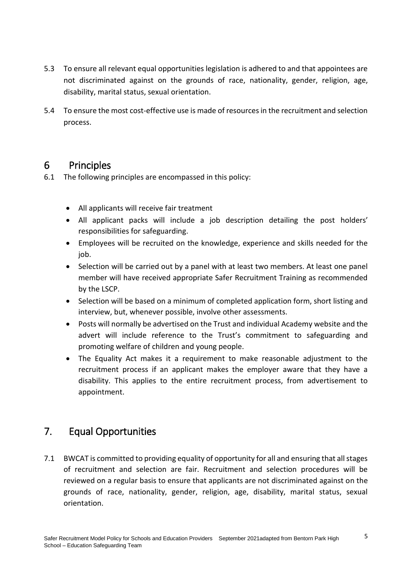- 5.3 To ensure all relevant equal opportunities legislation is adhered to and that appointees are not discriminated against on the grounds of race, nationality, gender, religion, age, disability, marital status, sexual orientation.
- 5.4 To ensure the most cost-effective use is made of resources in the recruitment and selection process.

## <span id="page-4-0"></span>6 Principles

- 6.1 The following principles are encompassed in this policy:
	- All applicants will receive fair treatment
	- All applicant packs will include a job description detailing the post holders' responsibilities for safeguarding.
	- Employees will be recruited on the knowledge, experience and skills needed for the io<sub>b</sub>.
	- Selection will be carried out by a panel with at least two members. At least one panel member will have received appropriate Safer Recruitment Training as recommended by the LSCP.
	- Selection will be based on a minimum of completed application form, short listing and interview, but, whenever possible, involve other assessments.
	- Posts will normally be advertised on the Trust and individual Academy website and the advert will include reference to the Trust's commitment to safeguarding and promoting welfare of children and young people.
	- The Equality Act makes it a requirement to make reasonable adjustment to the recruitment process if an applicant makes the employer aware that they have a disability. This applies to the entire recruitment process, from advertisement to appointment.

## <span id="page-4-1"></span>7. Equal Opportunities

7.1 BWCAT is committed to providing equality of opportunity for all and ensuring that all stages of recruitment and selection are fair. Recruitment and selection procedures will be reviewed on a regular basis to ensure that applicants are not discriminated against on the grounds of race, nationality, gender, religion, age, disability, marital status, sexual orientation.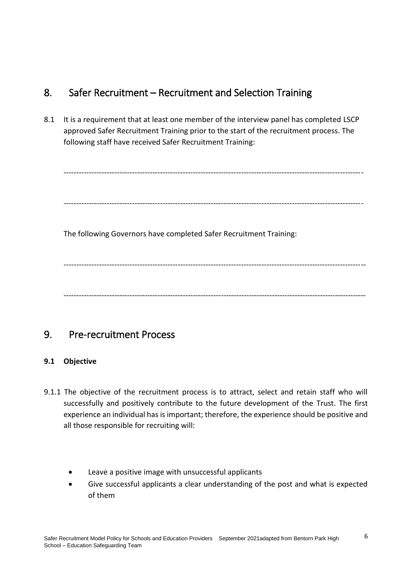## <span id="page-5-0"></span>8. Safer Recruitment – Recruitment and Selection Training

8.1 It is a requirement that at least one member of the interview panel has completed LSCP approved Safer Recruitment Training prior to the start of the recruitment process. The following staff have received Safer Recruitment Training:

----------------------------------------------------------------------------------------------------------------------

----------------------------------------------------------------------------------------------------------------------

The following Governors have completed Safer Recruitment Training:

----------------------------------------------------------------------------------------------------------------------- -----------------------------------------------------------------------------------------------------------------------

## <span id="page-5-1"></span>9. Pre-recruitment Process

#### **9.1 Objective**

- 9.1.1 The objective of the recruitment process is to attract, select and retain staff who will successfully and positively contribute to the future development of the Trust. The first experience an individual has is important; therefore, the experience should be positive and all those responsible for recruiting will:
	- Leave a positive image with unsuccessful applicants
	- Give successful applicants a clear understanding of the post and what is expected of them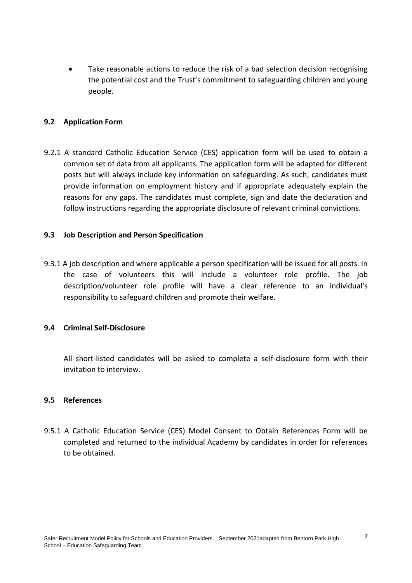Take reasonable actions to reduce the risk of a bad selection decision recognising the potential cost and the Trust's commitment to safeguarding children and young people.

#### **9.2 Application Form**

9.2.1 A standard Catholic Education Service (CES) application form will be used to obtain a common set of data from all applicants. The application form will be adapted for different posts but will always include key information on safeguarding. As such, candidates must provide information on employment history and if appropriate adequately explain the reasons for any gaps. The candidates must complete, sign and date the declaration and follow instructions regarding the appropriate disclosure of relevant criminal convictions.

#### **9.3 Job Description and Person Specification**

9.3.1 A job description and where applicable a person specification will be issued for all posts. In the case of volunteers this will include a volunteer role profile. The job description/volunteer role profile will have a clear reference to an individual's responsibility to safeguard children and promote their welfare.

#### **9.4 Criminal Self-Disclosure**

All short-listed candidates will be asked to complete a self-disclosure form with their invitation to interview.

#### **9.5 References**

9.5.1 A Catholic Education Service (CES) Model Consent to Obtain References Form will be completed and returned to the individual Academy by candidates in order for references to be obtained.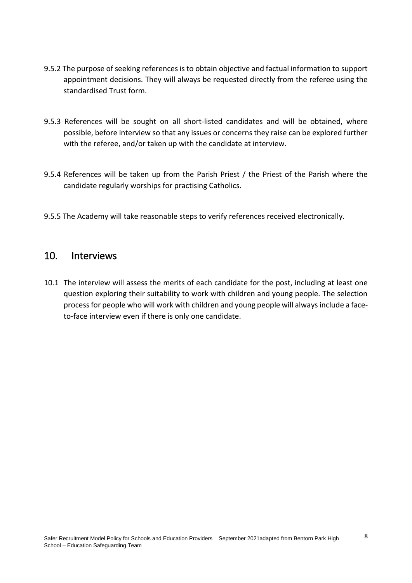- 9.5.2 The purpose of seeking references is to obtain objective and factual information to support appointment decisions. They will always be requested directly from the referee using the standardised Trust form.
- 9.5.3 References will be sought on all short-listed candidates and will be obtained, where possible, before interview so that any issues or concerns they raise can be explored further with the referee, and/or taken up with the candidate at interview.
- 9.5.4 References will be taken up from the Parish Priest / the Priest of the Parish where the candidate regularly worships for practising Catholics.
- 9.5.5 The Academy will take reasonable steps to verify references received electronically.

#### <span id="page-7-0"></span>10. Interviews

10.1 The interview will assess the merits of each candidate for the post, including at least one question exploring their suitability to work with children and young people. The selection process for people who will work with children and young people will always include a faceto-face interview even if there is only one candidate.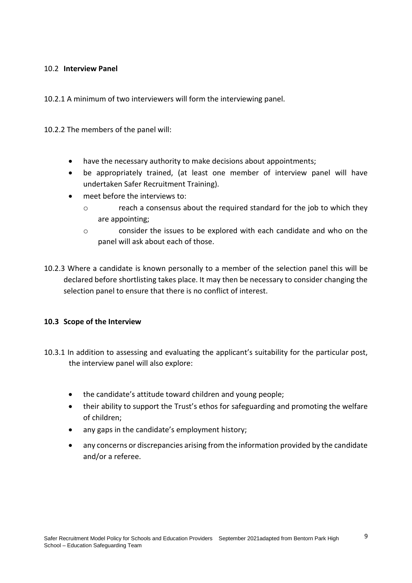#### 10.2 **Interview Panel**

10.2.1 A minimum of two interviewers will form the interviewing panel.

10.2.2 The members of the panel will:

- have the necessary authority to make decisions about appointments;
- be appropriately trained, (at least one member of interview panel will have undertaken Safer Recruitment Training).
- meet before the interviews to:
	- o reach a consensus about the required standard for the job to which they are appointing;
	- o consider the issues to be explored with each candidate and who on the panel will ask about each of those.
- 10.2.3 Where a candidate is known personally to a member of the selection panel this will be declared before shortlisting takes place. It may then be necessary to consider changing the selection panel to ensure that there is no conflict of interest.

#### **10.3 Scope of the Interview**

- 10.3.1 In addition to assessing and evaluating the applicant's suitability for the particular post, the interview panel will also explore:
	- the candidate's attitude toward children and young people;
	- their ability to support the Trust's ethos for safeguarding and promoting the welfare of children;
	- any gaps in the candidate's employment history;
	- any concerns or discrepancies arising from the information provided by the candidate and/or a referee.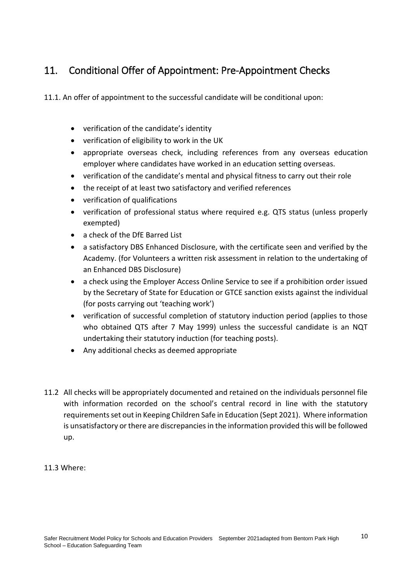## <span id="page-9-0"></span>11. Conditional Offer of Appointment: Pre-Appointment Checks

11.1. An offer of appointment to the successful candidate will be conditional upon:

- verification of the candidate's identity
- verification of eligibility to work in the UK
- appropriate overseas check, including references from any overseas education employer where candidates have worked in an education setting overseas.
- verification of the candidate's mental and physical fitness to carry out their role
- the receipt of at least two satisfactory and verified references
- verification of qualifications
- verification of professional status where required e.g. QTS status (unless properly exempted)
- a check of the DfE Barred List
- a satisfactory DBS Enhanced Disclosure, with the certificate seen and verified by the Academy. (for Volunteers a written risk assessment in relation to the undertaking of an Enhanced DBS Disclosure)
- a check using the Employer Access Online Service to see if a prohibition order issued by the Secretary of State for Education or GTCE sanction exists against the individual (for posts carrying out 'teaching work')
- verification of successful completion of statutory induction period (applies to those who obtained QTS after 7 May 1999) unless the successful candidate is an NQT undertaking their statutory induction (for teaching posts).
- Any additional checks as deemed appropriate
- 11.2 All checks will be appropriately documented and retained on the individuals personnel file with information recorded on the school's central record in line with the statutory requirements set out in Keeping Children Safe in Education (Sept 2021). Where information is unsatisfactory or there are discrepancies in the information provided this will be followed up.

#### 11.3 Where: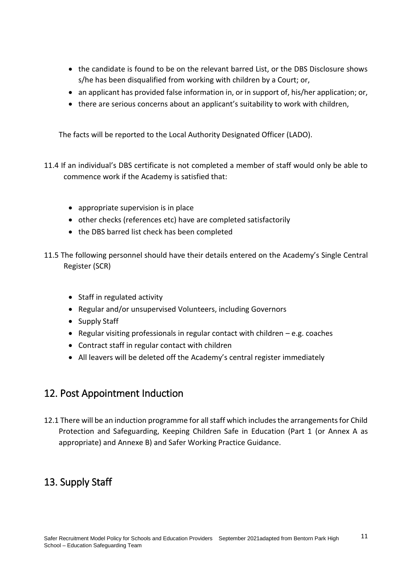- the candidate is found to be on the relevant barred List, or the DBS Disclosure shows s/he has been disqualified from working with children by a Court; or,
- an applicant has provided false information in, or in support of, his/her application; or,
- there are serious concerns about an applicant's suitability to work with children,

The facts will be reported to the Local Authority Designated Officer (LADO).

- 11.4 If an individual's DBS certificate is not completed a member of staff would only be able to commence work if the Academy is satisfied that:
	- appropriate supervision is in place
	- other checks (references etc) have are completed satisfactorily
	- the DBS barred list check has been completed
- 11.5 The following personnel should have their details entered on the Academy's Single Central Register (SCR)
	- Staff in regulated activity
	- Regular and/or unsupervised Volunteers, including Governors
	- Supply Staff
	- **•** Regular visiting professionals in regular contact with children  $-e.g.$  coaches
	- Contract staff in regular contact with children
	- All leavers will be deleted off the Academy's central register immediately

## <span id="page-10-0"></span>12. Post Appointment Induction

12.1 There will be an induction programme for all staff which includes the arrangements for Child Protection and Safeguarding, Keeping Children Safe in Education (Part 1 (or Annex A as appropriate) and Annexe B) and Safer Working Practice Guidance.

## <span id="page-10-1"></span>13. Supply Staff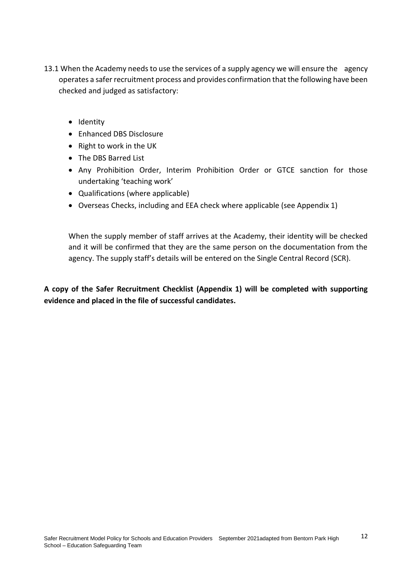- 13.1 When the Academy needs to use the services of a supply agency we will ensure the agency operates a safer recruitment process and provides confirmation that the following have been checked and judged as satisfactory:
	- Identity
	- Enhanced DBS Disclosure
	- Right to work in the UK
	- The DBS Barred List
	- Any Prohibition Order, Interim Prohibition Order or GTCE sanction for those undertaking 'teaching work'
	- Qualifications (where applicable)
	- Overseas Checks, including and EEA check where applicable (see Appendix 1)

When the supply member of staff arrives at the Academy, their identity will be checked and it will be confirmed that they are the same person on the documentation from the agency. The supply staff's details will be entered on the Single Central Record (SCR).

**A copy of the Safer Recruitment Checklist (Appendix 1) will be completed with supporting evidence and placed in the file of successful candidates.**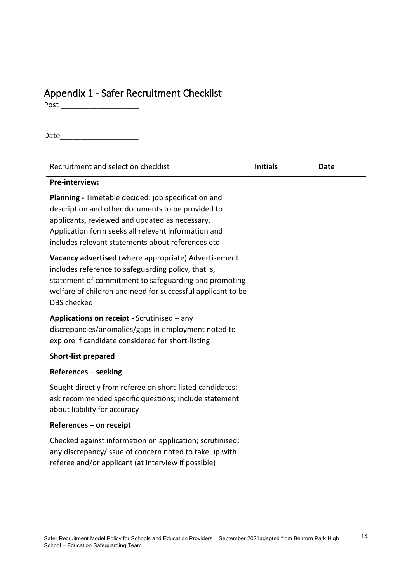## <span id="page-13-0"></span>Appendix 1 - Safer Recruitment Checklist

Post \_\_\_\_\_\_\_\_\_\_\_\_\_\_\_\_\_\_\_

Date\_\_\_\_\_\_\_\_\_\_\_\_\_\_\_\_\_\_\_

| Recruitment and selection checklist                                                                                                                                       | <b>Initials</b> | <b>Date</b> |
|---------------------------------------------------------------------------------------------------------------------------------------------------------------------------|-----------------|-------------|
| Pre-interview:                                                                                                                                                            |                 |             |
| Planning - Timetable decided: job specification and<br>description and other documents to be provided to                                                                  |                 |             |
| applicants, reviewed and updated as necessary.                                                                                                                            |                 |             |
| Application form seeks all relevant information and                                                                                                                       |                 |             |
| includes relevant statements about references etc                                                                                                                         |                 |             |
| Vacancy advertised (where appropriate) Advertisement                                                                                                                      |                 |             |
| includes reference to safeguarding policy, that is,                                                                                                                       |                 |             |
| statement of commitment to safeguarding and promoting                                                                                                                     |                 |             |
| welfare of children and need for successful applicant to be                                                                                                               |                 |             |
| <b>DBS</b> checked                                                                                                                                                        |                 |             |
| Applications on receipt - Scrutinised - any                                                                                                                               |                 |             |
| discrepancies/anomalies/gaps in employment noted to                                                                                                                       |                 |             |
| explore if candidate considered for short-listing                                                                                                                         |                 |             |
| <b>Short-list prepared</b>                                                                                                                                                |                 |             |
| References - seeking                                                                                                                                                      |                 |             |
| Sought directly from referee on short-listed candidates;                                                                                                                  |                 |             |
| ask recommended specific questions; include statement                                                                                                                     |                 |             |
| about liability for accuracy                                                                                                                                              |                 |             |
| References - on receipt                                                                                                                                                   |                 |             |
| Checked against information on application; scrutinised;<br>any discrepancy/issue of concern noted to take up with<br>referee and/or applicant (at interview if possible) |                 |             |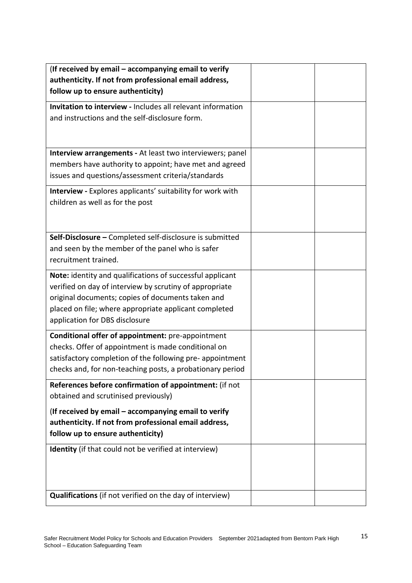| (If received by email - accompanying email to verify                                                                   |  |
|------------------------------------------------------------------------------------------------------------------------|--|
| authenticity. If not from professional email address,<br>follow up to ensure authenticity)                             |  |
| <b>Invitation to interview - Includes all relevant information</b>                                                     |  |
| and instructions and the self-disclosure form.                                                                         |  |
|                                                                                                                        |  |
|                                                                                                                        |  |
| Interview arrangements - At least two interviewers; panel                                                              |  |
| members have authority to appoint; have met and agreed<br>issues and questions/assessment criteria/standards           |  |
| Interview - Explores applicants' suitability for work with                                                             |  |
| children as well as for the post                                                                                       |  |
|                                                                                                                        |  |
| Self-Disclosure - Completed self-disclosure is submitted                                                               |  |
| and seen by the member of the panel who is safer                                                                       |  |
| recruitment trained.                                                                                                   |  |
| Note: identity and qualifications of successful applicant                                                              |  |
| verified on day of interview by scrutiny of appropriate                                                                |  |
| original documents; copies of documents taken and<br>placed on file; where appropriate applicant completed             |  |
| application for DBS disclosure                                                                                         |  |
| Conditional offer of appointment: pre-appointment                                                                      |  |
| checks. Offer of appointment is made conditional on                                                                    |  |
| satisfactory completion of the following pre- appointment<br>checks and, for non-teaching posts, a probationary period |  |
| References before confirmation of appointment: (if not                                                                 |  |
| obtained and scrutinised previously)                                                                                   |  |
| (If received by email – accompanying email to verify                                                                   |  |
| authenticity. If not from professional email address,                                                                  |  |
| follow up to ensure authenticity)                                                                                      |  |
| Identity (if that could not be verified at interview)                                                                  |  |
|                                                                                                                        |  |
|                                                                                                                        |  |
| <b>Qualifications</b> (if not verified on the day of interview)                                                        |  |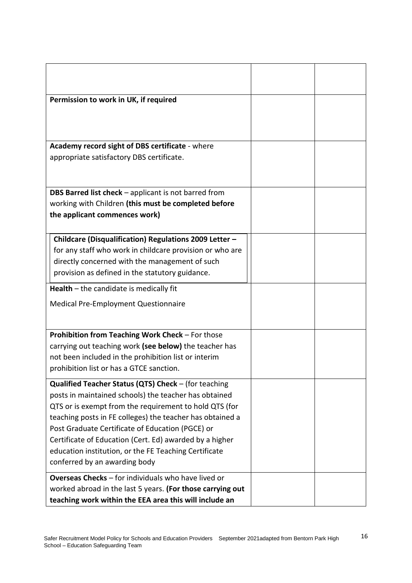| Permission to work in UK, if required                                                  |  |
|----------------------------------------------------------------------------------------|--|
|                                                                                        |  |
|                                                                                        |  |
| Academy record sight of DBS certificate - where                                        |  |
| appropriate satisfactory DBS certificate.                                              |  |
|                                                                                        |  |
|                                                                                        |  |
| <b>DBS Barred list check</b> – applicant is not barred from                            |  |
| working with Children (this must be completed before<br>the applicant commences work)  |  |
|                                                                                        |  |
| Childcare (Disqualification) Regulations 2009 Letter -                                 |  |
| for any staff who work in childcare provision or who are                               |  |
| directly concerned with the management of such                                         |  |
| provision as defined in the statutory guidance.                                        |  |
| Health $-$ the candidate is medically fit                                              |  |
| Medical Pre-Employment Questionnaire                                                   |  |
|                                                                                        |  |
| Prohibition from Teaching Work Check - For those                                       |  |
| carrying out teaching work (see below) the teacher has                                 |  |
| not been included in the prohibition list or interim                                   |  |
| prohibition list or has a GTCE sanction.                                               |  |
| Qualified Teacher Status (QTS) Check - (for teaching                                   |  |
| posts in maintained schools) the teacher has obtained                                  |  |
| QTS or is exempt from the requirement to hold QTS (for                                 |  |
| teaching posts in FE colleges) the teacher has obtained a                              |  |
| Post Graduate Certificate of Education (PGCE) or                                       |  |
| Certificate of Education (Cert. Ed) awarded by a higher                                |  |
| education institution, or the FE Teaching Certificate<br>conferred by an awarding body |  |
|                                                                                        |  |
| Overseas Checks - for individuals who have lived or                                    |  |
| worked abroad in the last 5 years. (For those carrying out                             |  |
| teaching work within the EEA area this will include an                                 |  |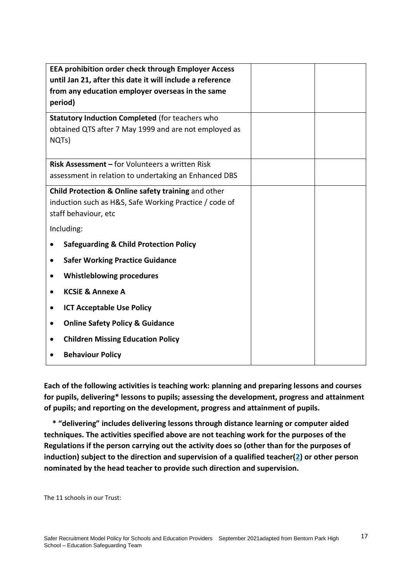| <b>EEA prohibition order check through Employer Access</b><br>until Jan 21, after this date it will include a reference<br>from any education employer overseas in the same<br>period) |  |
|----------------------------------------------------------------------------------------------------------------------------------------------------------------------------------------|--|
| <b>Statutory Induction Completed (for teachers who</b><br>obtained QTS after 7 May 1999 and are not employed as<br>NQTs)                                                               |  |
| <b>Risk Assessment – for Volunteers a written Risk</b><br>assessment in relation to undertaking an Enhanced DBS                                                                        |  |
| Child Protection & Online safety training and other<br>induction such as H&S, Safe Working Practice / code of<br>staff behaviour, etc                                                  |  |
| Including:                                                                                                                                                                             |  |
| <b>Safeguarding &amp; Child Protection Policy</b>                                                                                                                                      |  |
| <b>Safer Working Practice Guidance</b>                                                                                                                                                 |  |
| <b>Whistleblowing procedures</b>                                                                                                                                                       |  |
| <b>KCSIE &amp; Annexe A</b>                                                                                                                                                            |  |
| <b>ICT Acceptable Use Policy</b>                                                                                                                                                       |  |
| <b>Online Safety Policy &amp; Guidance</b><br>$\bullet$                                                                                                                                |  |
| <b>Children Missing Education Policy</b>                                                                                                                                               |  |
| <b>Behaviour Policy</b>                                                                                                                                                                |  |

**Each of the following activities is teaching work: planning and preparing lessons and courses for pupils, delivering\* lessons to pupils; assessing the development, progress and attainment of pupils; and reporting on the development, progress and attainment of pupils.**

**\* "delivering" includes delivering lessons through distance learning or computer aided techniques. The activities specified above are not teaching work for the purposes of the Regulations if the person carrying out the activity does so (other than for the purposes of induction) subject to the direction and supervision of a qualified teacher[\(2\)](http://www.legislation.gov.uk/uksi/2012/560/regulation/3/made#f00009) or other person nominated by the head teacher to provide such direction and supervision.**

The 11 schools in our Trust: